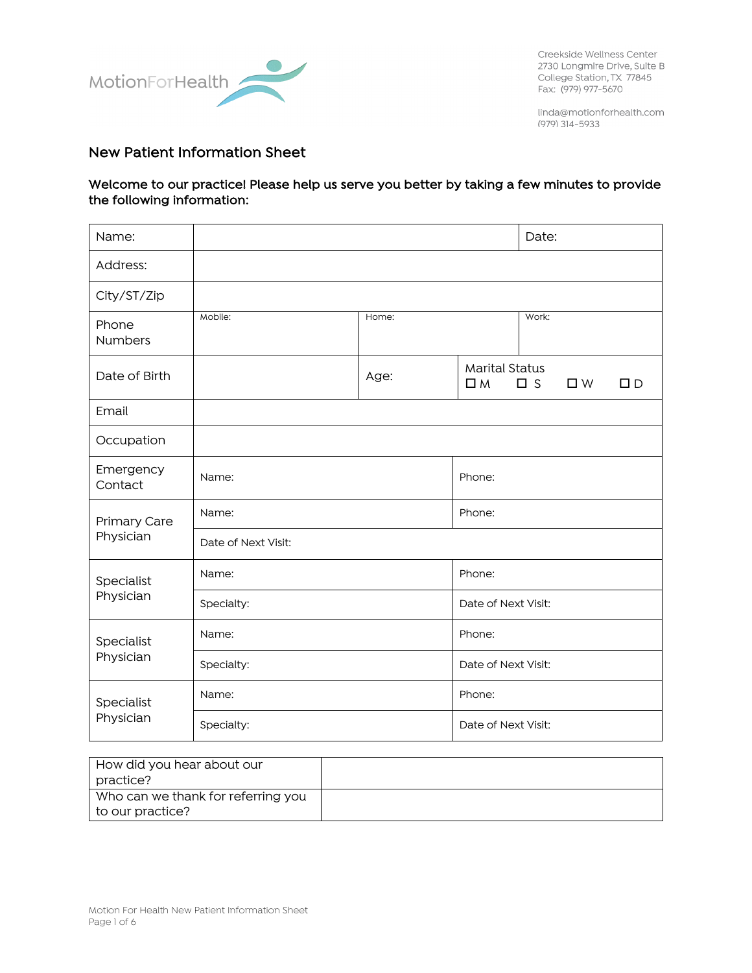

Creekside Wellness Center 2730 Longmire Drive, Suite B College Station, TX 77845 Fax: (979) 977-5670

linda@motionforhealth.com (979) 314-5933

# New Patient Information Sheet

#### Welcome to our practice! Please help us serve you better by taking a few minutes to provide the following information:

| Name:                   |                     |       | Date:                                                             |  |  |  |
|-------------------------|---------------------|-------|-------------------------------------------------------------------|--|--|--|
| Address:                |                     |       |                                                                   |  |  |  |
| City/ST/Zip             |                     |       |                                                                   |  |  |  |
| Phone<br>Numbers        | Mobile:             | Home: | Work:                                                             |  |  |  |
| Date of Birth           |                     | Age:  | <b>Marital Status</b><br>$\square$ M<br>$\square$ s<br>$\Box$ $D$ |  |  |  |
| Email                   |                     |       |                                                                   |  |  |  |
| Occupation              |                     |       |                                                                   |  |  |  |
| Emergency<br>Contact    | Name:               |       | Phone:                                                            |  |  |  |
| Primary Care            | Name:               |       | Phone:                                                            |  |  |  |
| Physician               | Date of Next Visit: |       |                                                                   |  |  |  |
| Specialist              | Name:               |       | Phone:                                                            |  |  |  |
| Physician               | Specialty:          |       | Date of Next Visit:                                               |  |  |  |
| Specialist              | Name:               |       | Phone:                                                            |  |  |  |
| Physician               | Specialty:          |       | Date of Next Visit:                                               |  |  |  |
| Specialist<br>Physician | Name:               |       | Phone:                                                            |  |  |  |
|                         | Specialty:          |       | Date of Next Visit:                                               |  |  |  |

| How did you hear about our         |  |
|------------------------------------|--|
| practice?                          |  |
| Who can we thank for referring you |  |
| to our practice?                   |  |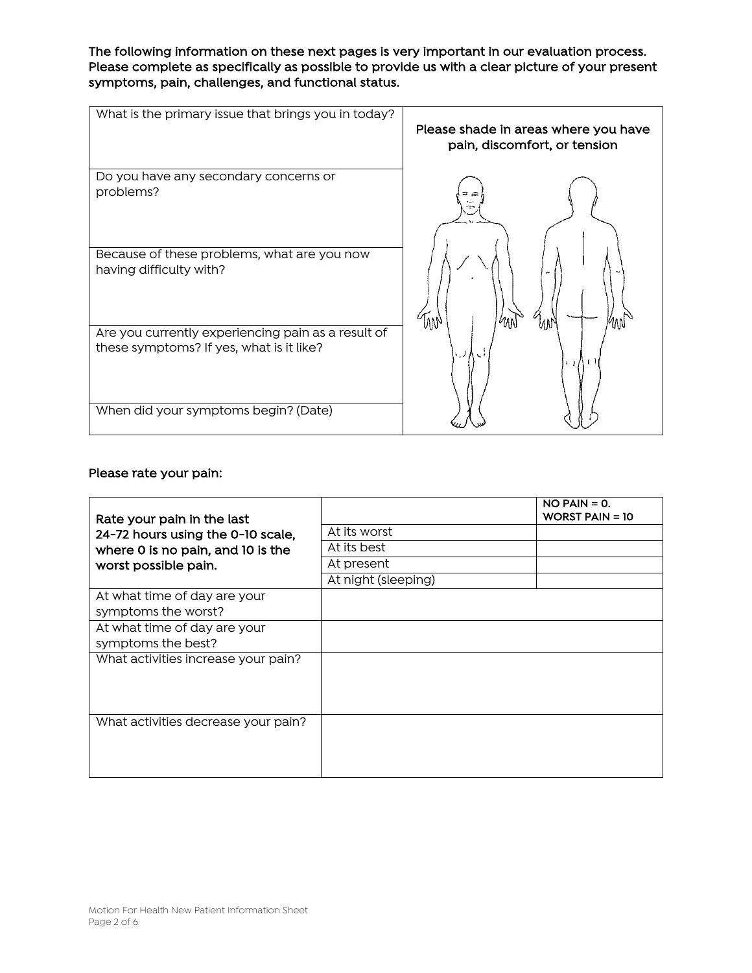The following information on these next pages is very important in our evaluation process. Please complete as specifically as possible to provide us with a clear picture of your present symptoms, pain, challenges, and functional status.

| What is the primary issue that brings you in today?                                            | Please shade in areas where you have<br>pain, discomfort, or tension |
|------------------------------------------------------------------------------------------------|----------------------------------------------------------------------|
| Do you have any secondary concerns or<br>problems?                                             |                                                                      |
| Because of these problems, what are you now<br>having difficulty with?                         | W                                                                    |
| Are you currently experiencing pain as a result of<br>these symptoms? If yes, what is it like? | 111                                                                  |
| When did your symptoms begin? (Date)                                                           |                                                                      |

## Please rate your pain:

| Rate your pain in the last          |                     | $NO$ PAIN = 0.<br><b>WORST PAIN = 10</b> |
|-------------------------------------|---------------------|------------------------------------------|
| 24-72 hours using the 0-10 scale,   | At its worst        |                                          |
| where 0 is no pain, and 10 is the   | At its best         |                                          |
| worst possible pain.                | At present          |                                          |
|                                     | At night (sleeping) |                                          |
| At what time of day are your        |                     |                                          |
| symptoms the worst?                 |                     |                                          |
| At what time of day are your        |                     |                                          |
| symptoms the best?                  |                     |                                          |
| What activities increase your pain? |                     |                                          |
|                                     |                     |                                          |
|                                     |                     |                                          |
|                                     |                     |                                          |
| What activities decrease your pain? |                     |                                          |
|                                     |                     |                                          |
|                                     |                     |                                          |
|                                     |                     |                                          |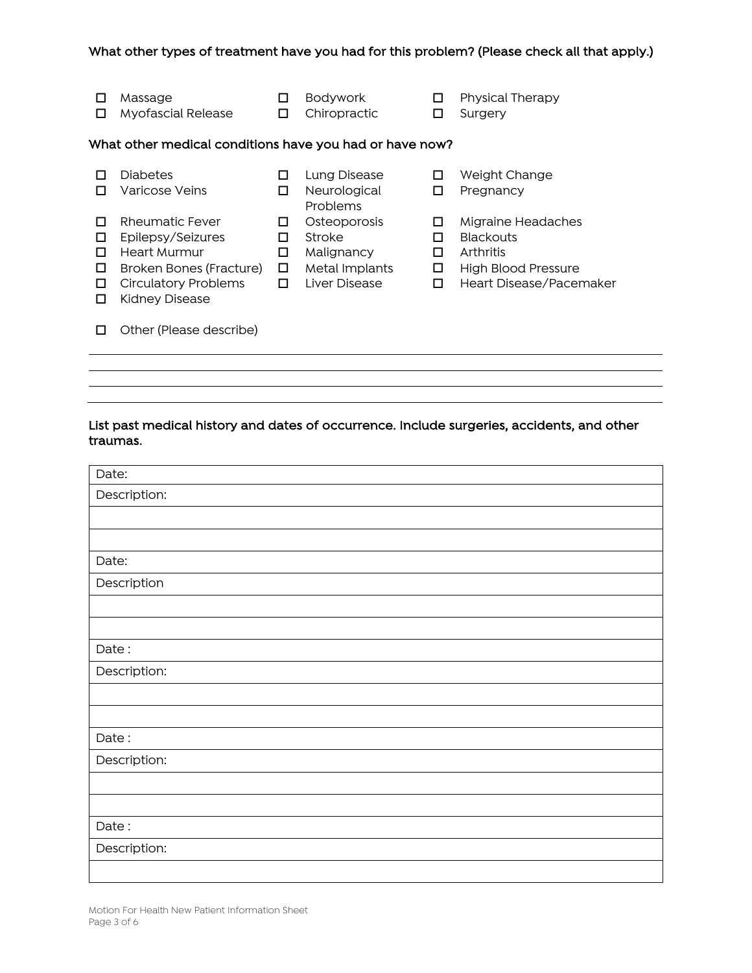#### What other types of treatment have you had for this problem? (Please check all that apply.)

| Massage<br><b>Myofascial Release</b>                        | Bodywork<br>Chiropractic                 | Physical Therapy<br>Surgery                                                                       |
|-------------------------------------------------------------|------------------------------------------|---------------------------------------------------------------------------------------------------|
| What other medical conditions have you had or have now?     |                                          |                                                                                                   |
| <b>Diabetes</b><br>Varicose Veins                           | Lung Disease<br>Neurological<br>Problems | Weight Change<br>Pregnancy                                                                        |
| $D_{\text{max}}$ . $\ldots$ . $\pm 1$ . $\Gamma$ . $\ldots$ | Osta su sussis                           | $\lambda$ is a set of $\lambda$ is a set of $\lambda$ is a set of $\lambda$ is a set of $\lambda$ |

- **O** Rheumatic Fever **O** Osteoporosis **O** Migraine Headaches  $\Box$  Epilepsy/Seizures  $\Box$  Stroke  $\Box$  Blackouts o Heart Murmur o Malignancy o Arthritis **□** Broken Bones (Fracture) □ Metal Implants □ High Blood Pressure **O** Circulatory Problems **O** Liver Disease **O** Heart Disease/Pacemaker  $\square$  Kidney Disease
- 
- -
	-
	-
	-

 $\Box$  Other (Please describe)

## List past medical history and dates of occurrence. Include surgeries, accidents, and other traumas.

| Date:        |
|--------------|
| Description: |
|              |
|              |
| Date:        |
| Description  |
|              |
|              |
| Date:        |
| Description: |
|              |
|              |
| Date:        |
| Description: |
|              |
|              |
| Date:        |
| Description: |
|              |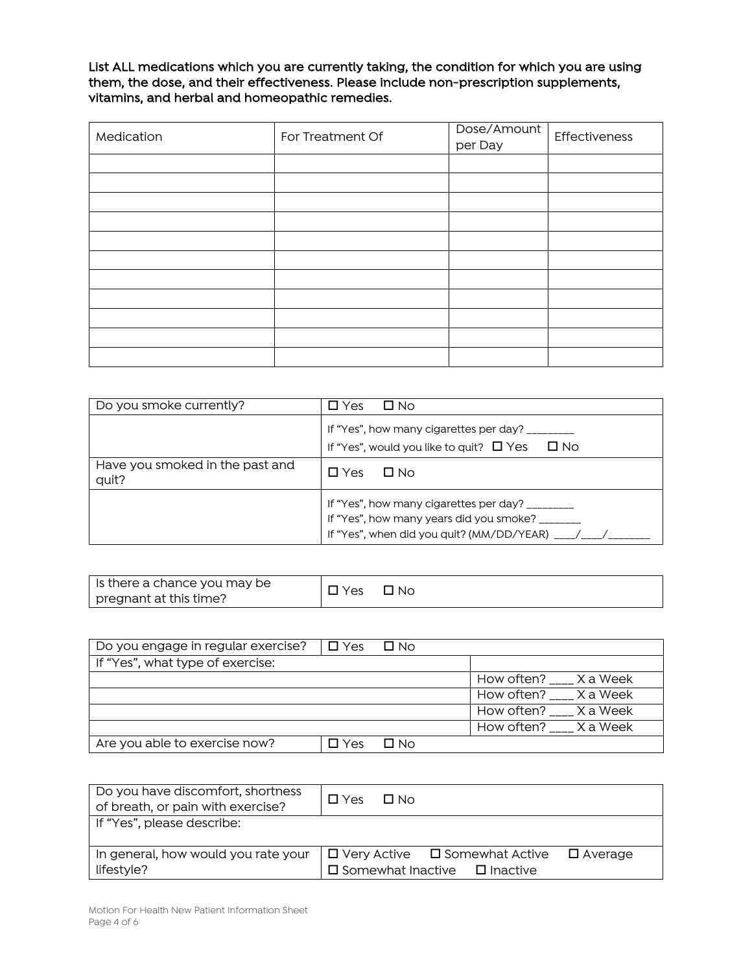List ALL medications which you are currently taking, the condition for which you are using them, the dose, and their effectiveness. Please include non-prescription supplements, vitamins, and herbal and homeopathic remedies.

| Medication | For Treatment Of | Dose/Amount<br>per Day | Effectiveness |
|------------|------------------|------------------------|---------------|
|            |                  |                        |               |
|            |                  |                        |               |
|            |                  |                        |               |
|            |                  |                        |               |
|            |                  |                        |               |
|            |                  |                        |               |
|            |                  |                        |               |
|            |                  |                        |               |
|            |                  |                        |               |
|            |                  |                        |               |
|            |                  |                        |               |

| Do you smoke currently?                  | □ No<br>Yes                                                                                                                                     |
|------------------------------------------|-------------------------------------------------------------------------------------------------------------------------------------------------|
|                                          | If "Yes", how many cigarettes per day? _________<br>If "Yes", would you like to quit? $\Box$ Yes $\Box$ No                                      |
| Have you smoked in the past and<br>quit? | $\Box$ No<br>$\square$ Yes                                                                                                                      |
|                                          | If "Yes", how many cigarettes per day? _________<br>If "Yes", how many years did you smoke? ______<br>If "Yes", when did you quit? (MM/DD/YEAR) |

| Is there a chance you may be | Yes | $\Box$ No |
|------------------------------|-----|-----------|
| pregnant at this time?       |     |           |

| Do you engage in regular exercise? | $\Box$ Yes $\Box$ No |           |                          |
|------------------------------------|----------------------|-----------|--------------------------|
| If "Yes", what type of exercise:   |                      |           |                          |
|                                    |                      |           | How often? ____ X a Week |
|                                    |                      |           | How often? X a Week      |
|                                    |                      |           | How often? ___ X a Week  |
|                                    |                      |           | How often? ___ X a Week  |
| Are you able to exercise now?      | ∃ Yes                | $\Box$ No |                          |

| Do you have discomfort, shortness<br>of breath, or pain with exercise? | $\Box$ Yes<br>$\Box$ No                                                                            |
|------------------------------------------------------------------------|----------------------------------------------------------------------------------------------------|
| If "Yes", please describe:                                             |                                                                                                    |
| In general, how would you rate your<br>lifestyle?                      | $\Box$ Very Active $\Box$ Somewhat Active<br>□ Average<br>$\Box$ Somewhat Inactive $\Box$ Inactive |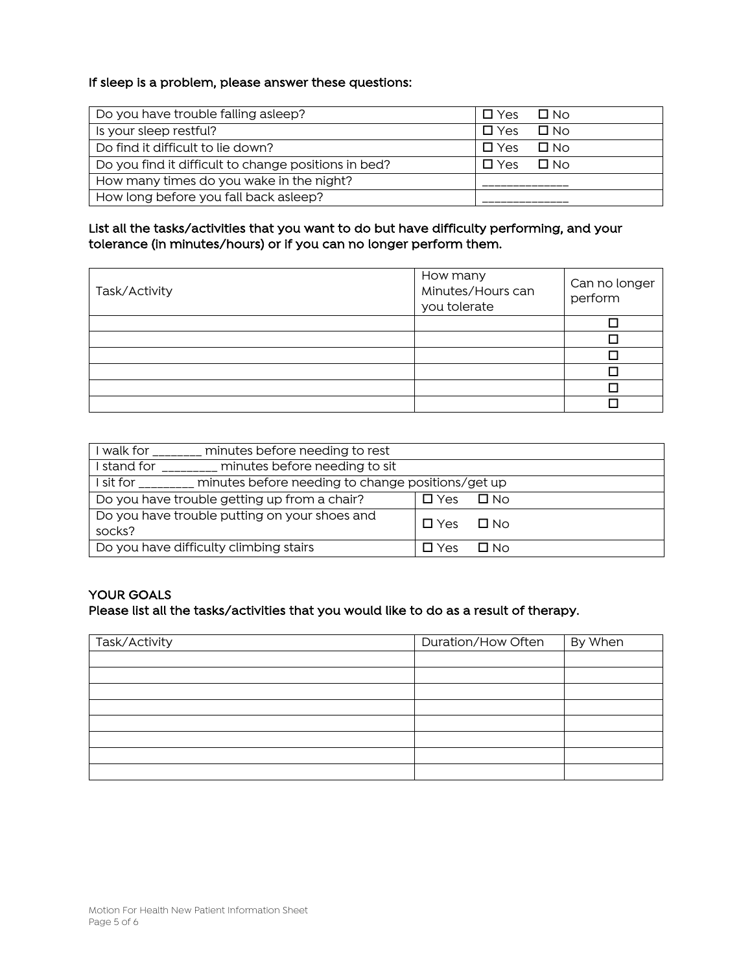#### If sleep is a problem, please answer these questions:

| Do you have trouble falling asleep?                  | $\Box$ No<br>$\Box$ Yes |
|------------------------------------------------------|-------------------------|
| Is your sleep restful?                               | $\Box$ Yes<br>$\Box$ No |
| Do find it difficult to lie down?                    | — □ No<br>$\Box$ Yes    |
| Do you find it difficult to change positions in bed? | $\Box$ No<br>□ Yes      |
| How many times do you wake in the night?             |                         |
| How long before you fall back asleep?                |                         |

## List all the tasks/activities that you want to do but have difficulty performing, and your tolerance (in minutes/hours) or if you can no longer perform them.

| Task/Activity | How many<br>Minutes/Hours can<br>you tolerate | Can no longer<br>perform |
|---------------|-----------------------------------------------|--------------------------|
|               |                                               |                          |
|               |                                               |                          |
|               |                                               |                          |
|               |                                               |                          |
|               |                                               |                          |
|               |                                               |                          |

| minutes before needing to rest<br>I walk for I               |            |           |  |  |
|--------------------------------------------------------------|------------|-----------|--|--|
| minutes before needing to sit<br>I stand for                 |            |           |  |  |
| minutes before needing to change positions/get up<br>sit for |            |           |  |  |
| Do you have trouble getting up from a chair?                 | $\Box$ Yes | $\Box$ No |  |  |
| Do you have trouble putting on your shoes and<br>socks?      | $\Box$ Yes | $\Box$ No |  |  |
| Do you have difficulty climbing stairs                       | ∏ Yes      | Π No      |  |  |

## YOUR GOALS Please list all the tasks/activities that you would like to do as a result of therapy.

| Task/Activity | Duration/How Often | By When |
|---------------|--------------------|---------|
|               |                    |         |
|               |                    |         |
|               |                    |         |
|               |                    |         |
|               |                    |         |
|               |                    |         |
|               |                    |         |
|               |                    |         |